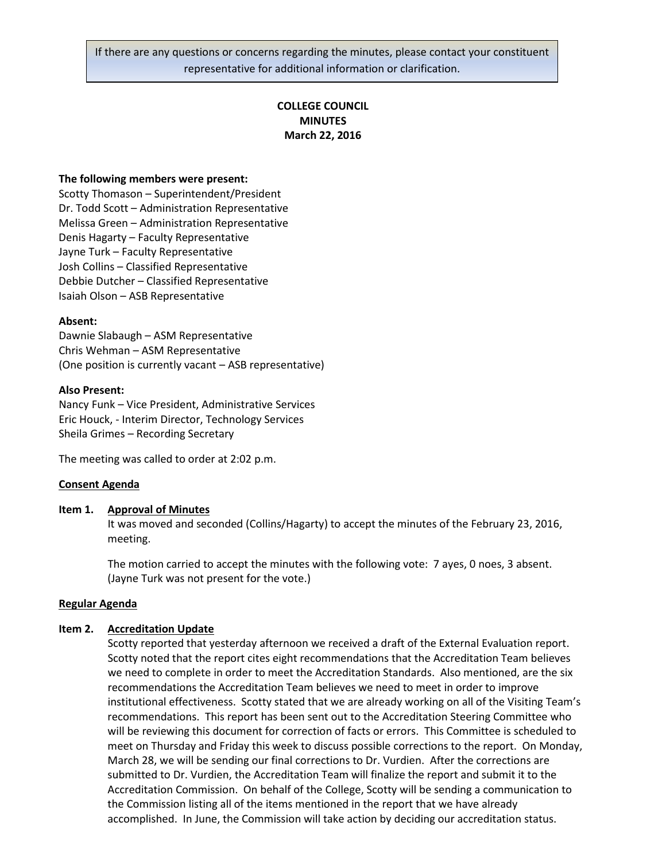If there are any questions or concerns regarding the minutes, please contact your constituent representative for additional information or clarification.

# **COLLEGE COUNCIL MINUTES March 22, 2016**

### **The following members were present:**

Scotty Thomason – Superintendent/President Dr. Todd Scott – Administration Representative Melissa Green – Administration Representative Denis Hagarty – Faculty Representative Jayne Turk – Faculty Representative Josh Collins – Classified Representative Debbie Dutcher – Classified Representative Isaiah Olson – ASB Representative

### **Absent:**

Dawnie Slabaugh – ASM Representative Chris Wehman – ASM Representative (One position is currently vacant – ASB representative)

### **Also Present:**

Nancy Funk – Vice President, Administrative Services Eric Houck, - Interim Director, Technology Services Sheila Grimes – Recording Secretary

The meeting was called to order at 2:02 p.m.

### **Consent Agenda**

### **Item 1. Approval of Minutes**

It was moved and seconded (Collins/Hagarty) to accept the minutes of the February 23, 2016, meeting.

The motion carried to accept the minutes with the following vote: 7 ayes, 0 noes, 3 absent. (Jayne Turk was not present for the vote.)

### **Regular Agenda**

### **Item 2. Accreditation Update**

Scotty reported that yesterday afternoon we received a draft of the External Evaluation report. Scotty noted that the report cites eight recommendations that the Accreditation Team believes we need to complete in order to meet the Accreditation Standards. Also mentioned, are the six recommendations the Accreditation Team believes we need to meet in order to improve institutional effectiveness. Scotty stated that we are already working on all of the Visiting Team's recommendations. This report has been sent out to the Accreditation Steering Committee who will be reviewing this document for correction of facts or errors. This Committee is scheduled to meet on Thursday and Friday this week to discuss possible corrections to the report. On Monday, March 28, we will be sending our final corrections to Dr. Vurdien. After the corrections are submitted to Dr. Vurdien, the Accreditation Team will finalize the report and submit it to the Accreditation Commission. On behalf of the College, Scotty will be sending a communication to the Commission listing all of the items mentioned in the report that we have already accomplished. In June, the Commission will take action by deciding our accreditation status.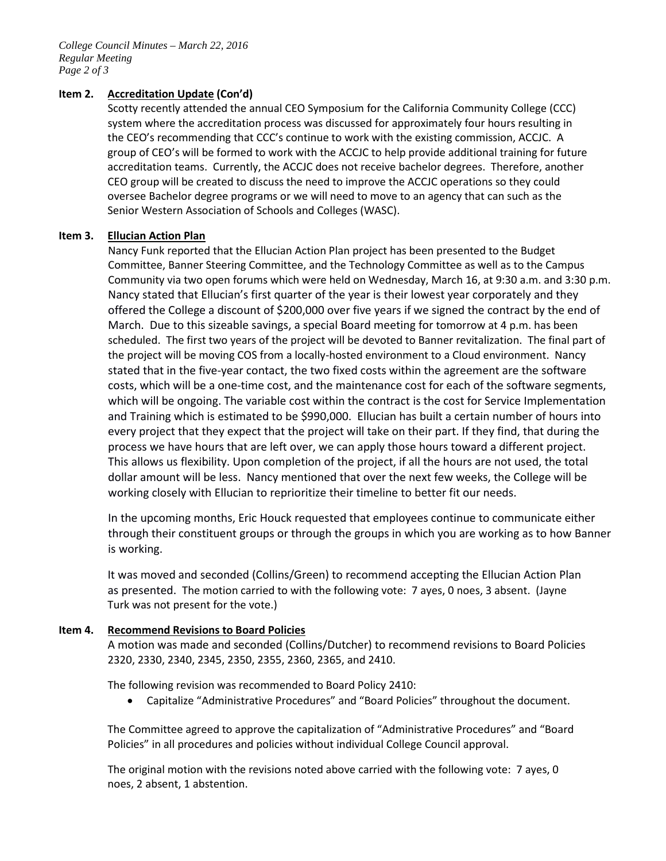*College Council Minutes – March 22, 2016 Regular Meeting Page 2 of 3*

# **Item 2. Accreditation Update (Con'd)**

Scotty recently attended the annual CEO Symposium for the California Community College (CCC) system where the accreditation process was discussed for approximately four hours resulting in the CEO's recommending that CCC's continue to work with the existing commission, ACCJC. A group of CEO's will be formed to work with the ACCJC to help provide additional training for future accreditation teams. Currently, the ACCJC does not receive bachelor degrees. Therefore, another CEO group will be created to discuss the need to improve the ACCJC operations so they could oversee Bachelor degree programs or we will need to move to an agency that can such as the Senior Western Association of Schools and Colleges (WASC).

# **Item 3. Ellucian Action Plan**

Nancy Funk reported that the Ellucian Action Plan project has been presented to the Budget Committee, Banner Steering Committee, and the Technology Committee as well as to the Campus Community via two open forums which were held on Wednesday, March 16, at 9:30 a.m. and 3:30 p.m. Nancy stated that Ellucian's first quarter of the year is their lowest year corporately and they offered the College a discount of \$200,000 over five years if we signed the contract by the end of March. Due to this sizeable savings, a special Board meeting for tomorrow at 4 p.m. has been scheduled. The first two years of the project will be devoted to Banner revitalization. The final part of the project will be moving COS from a locally-hosted environment to a Cloud environment. Nancy stated that in the five-year contact, the two fixed costs within the agreement are the software costs, which will be a one-time cost, and the maintenance cost for each of the software segments, which will be ongoing. The variable cost within the contract is the cost for Service Implementation and Training which is estimated to be \$990,000. Ellucian has built a certain number of hours into every project that they expect that the project will take on their part. If they find, that during the process we have hours that are left over, we can apply those hours toward a different project. This allows us flexibility. Upon completion of the project, if all the hours are not used, the total dollar amount will be less. Nancy mentioned that over the next few weeks, the College will be working closely with Ellucian to reprioritize their timeline to better fit our needs.

In the upcoming months, Eric Houck requested that employees continue to communicate either through their constituent groups or through the groups in which you are working as to how Banner is working.

It was moved and seconded (Collins/Green) to recommend accepting the Ellucian Action Plan as presented. The motion carried to with the following vote: 7 ayes, 0 noes, 3 absent. (Jayne Turk was not present for the vote.)

# **Item 4. Recommend Revisions to Board Policies**

A motion was made and seconded (Collins/Dutcher) to recommend revisions to Board Policies 2320, 2330, 2340, 2345, 2350, 2355, 2360, 2365, and 2410.

The following revision was recommended to Board Policy 2410:

• Capitalize "Administrative Procedures" and "Board Policies" throughout the document.

The Committee agreed to approve the capitalization of "Administrative Procedures" and "Board Policies" in all procedures and policies without individual College Council approval.

The original motion with the revisions noted above carried with the following vote: 7 ayes, 0 noes, 2 absent, 1 abstention.